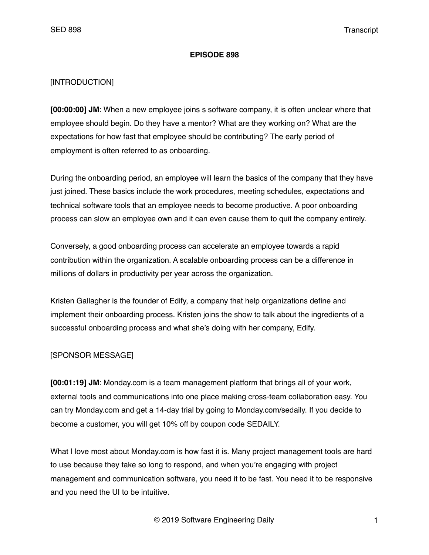#### **EPISODE 898**

### [INTRODUCTION]

**[00:00:00] JM**: When a new employee joins s software company, it is often unclear where that employee should begin. Do they have a mentor? What are they working on? What are the expectations for how fast that employee should be contributing? The early period of employment is often referred to as onboarding.

During the onboarding period, an employee will learn the basics of the company that they have just joined. These basics include the work procedures, meeting schedules, expectations and technical software tools that an employee needs to become productive. A poor onboarding process can slow an employee own and it can even cause them to quit the company entirely.

Conversely, a good onboarding process can accelerate an employee towards a rapid contribution within the organization. A scalable onboarding process can be a difference in millions of dollars in productivity per year across the organization.

Kristen Gallagher is the founder of Edify, a company that help organizations define and implement their onboarding process. Kristen joins the show to talk about the ingredients of a successful onboarding process and what she's doing with her company, Edify.

### [SPONSOR MESSAGE]

**[00:01:19] JM**: Monday.com is a team management platform that brings all of your work, external tools and communications into one place making cross-team collaboration easy. You can try Monday.com and get a 14-day trial by going to Monday.com/sedaily. If you decide to become a customer, you will get 10% off by coupon code SEDAILY.

What I love most about Monday.com is how fast it is. Many project management tools are hard to use because they take so long to respond, and when you're engaging with project management and communication software, you need it to be fast. You need it to be responsive and you need the UI to be intuitive.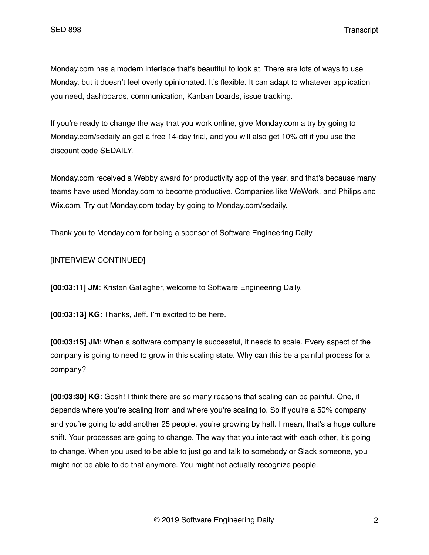Monday.com has a modern interface that's beautiful to look at. There are lots of ways to use Monday, but it doesn't feel overly opinionated. It's flexible. It can adapt to whatever application you need, dashboards, communication, Kanban boards, issue tracking.

If you're ready to change the way that you work online, give Monday.com a try by going to Monday.com/sedaily an get a free 14-day trial, and you will also get 10% off if you use the discount code SEDAILY.

Monday.com received a Webby award for productivity app of the year, and that's because many teams have used Monday.com to become productive. Companies like WeWork, and Philips and Wix.com. Try out Monday.com today by going to Monday.com/sedaily.

Thank you to Monday.com for being a sponsor of Software Engineering Daily

[INTERVIEW CONTINUED]

**[00:03:11] JM**: Kristen Gallagher, welcome to Software Engineering Daily.

**[00:03:13] KG**: Thanks, Jeff. I'm excited to be here.

**[00:03:15] JM**: When a software company is successful, it needs to scale. Every aspect of the company is going to need to grow in this scaling state. Why can this be a painful process for a company?

**[00:03:30] KG**: Gosh! I think there are so many reasons that scaling can be painful. One, it depends where you're scaling from and where you're scaling to. So if you're a 50% company and you're going to add another 25 people, you're growing by half. I mean, that's a huge culture shift. Your processes are going to change. The way that you interact with each other, it's going to change. When you used to be able to just go and talk to somebody or Slack someone, you might not be able to do that anymore. You might not actually recognize people.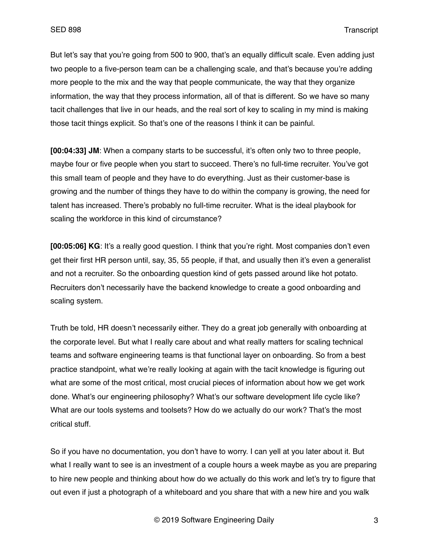But let's say that you're going from 500 to 900, that's an equally difficult scale. Even adding just two people to a five-person team can be a challenging scale, and that's because you're adding more people to the mix and the way that people communicate, the way that they organize information, the way that they process information, all of that is different. So we have so many tacit challenges that live in our heads, and the real sort of key to scaling in my mind is making those tacit things explicit. So that's one of the reasons I think it can be painful.

**[00:04:33] JM**: When a company starts to be successful, it's often only two to three people, maybe four or five people when you start to succeed. There's no full-time recruiter. You've got this small team of people and they have to do everything. Just as their customer-base is growing and the number of things they have to do within the company is growing, the need for talent has increased. There's probably no full-time recruiter. What is the ideal playbook for scaling the workforce in this kind of circumstance?

**[00:05:06] KG**: It's a really good question. I think that you're right. Most companies don't even get their first HR person until, say, 35, 55 people, if that, and usually then it's even a generalist and not a recruiter. So the onboarding question kind of gets passed around like hot potato. Recruiters don't necessarily have the backend knowledge to create a good onboarding and scaling system.

Truth be told, HR doesn't necessarily either. They do a great job generally with onboarding at the corporate level. But what I really care about and what really matters for scaling technical teams and software engineering teams is that functional layer on onboarding. So from a best practice standpoint, what we're really looking at again with the tacit knowledge is figuring out what are some of the most critical, most crucial pieces of information about how we get work done. What's our engineering philosophy? What's our software development life cycle like? What are our tools systems and toolsets? How do we actually do our work? That's the most critical stuff.

So if you have no documentation, you don't have to worry. I can yell at you later about it. But what I really want to see is an investment of a couple hours a week maybe as you are preparing to hire new people and thinking about how do we actually do this work and let's try to figure that out even if just a photograph of a whiteboard and you share that with a new hire and you walk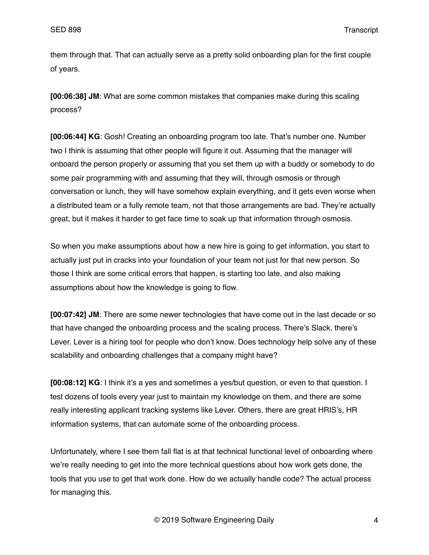them through that. That can actually serve as a pretty solid onboarding plan for the first couple of years.

**[00:06:38] JM**: What are some common mistakes that companies make during this scaling process?

**[00:06:44] KG**: Gosh! Creating an onboarding program too late. That's number one. Number two I think is assuming that other people will figure it out. Assuming that the manager will onboard the person properly or assuming that you set them up with a buddy or somebody to do some pair programming with and assuming that they will, through osmosis or through conversation or lunch, they will have somehow explain everything, and it gets even worse when a distributed team or a fully remote team, not that those arrangements are bad. They're actually great, but it makes it harder to get face time to soak up that information through osmosis.

So when you make assumptions about how a new hire is going to get information, you start to actually just put in cracks into your foundation of your team not just for that new person. So those I think are some critical errors that happen, is starting too late, and also making assumptions about how the knowledge is going to flow.

**[00:07:42] JM**: There are some newer technologies that have come out in the last decade or so that have changed the onboarding process and the scaling process. There's Slack, there's Lever. Lever is a hiring tool for people who don't know. Does technology help solve any of these scalability and onboarding challenges that a company might have?

**[00:08:12] KG**: I think it's a yes and sometimes a yes/but question, or even to that question. I test dozens of tools every year just to maintain my knowledge on them, and there are some really interesting applicant tracking systems like Lever. Others, there are great HRIS's, HR information systems, that can automate some of the onboarding process.

Unfortunately, where I see them fall flat is at that technical functional level of onboarding where we're really needing to get into the more technical questions about how work gets done, the tools that you use to get that work done. How do we actually handle code? The actual process for managing this.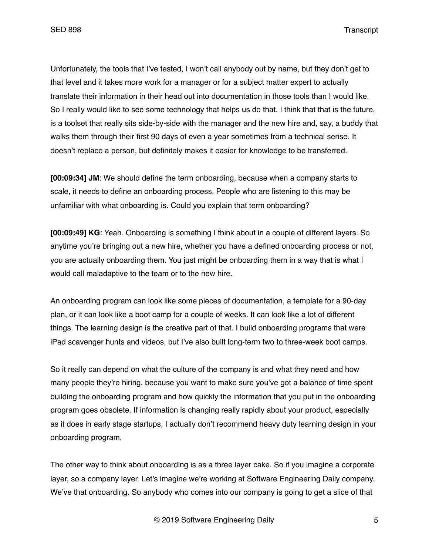Unfortunately, the tools that I've tested, I won't call anybody out by name, but they don't get to that level and it takes more work for a manager or for a subject matter expert to actually translate their information in their head out into documentation in those tools than I would like. So I really would like to see some technology that helps us do that. I think that that is the future, is a toolset that really sits side-by-side with the manager and the new hire and, say, a buddy that walks them through their first 90 days of even a year sometimes from a technical sense. It doesn't replace a person, but definitely makes it easier for knowledge to be transferred.

**[00:09:34] JM**: We should define the term onboarding, because when a company starts to scale, it needs to define an onboarding process. People who are listening to this may be unfamiliar with what onboarding is. Could you explain that term onboarding?

**[00:09:49] KG**: Yeah. Onboarding is something I think about in a couple of different layers. So anytime you're bringing out a new hire, whether you have a defined onboarding process or not, you are actually onboarding them. You just might be onboarding them in a way that is what I would call maladaptive to the team or to the new hire.

An onboarding program can look like some pieces of documentation, a template for a 90-day plan, or it can look like a boot camp for a couple of weeks. It can look like a lot of different things. The learning design is the creative part of that. I build onboarding programs that were iPad scavenger hunts and videos, but I've also built long-term two to three-week boot camps.

So it really can depend on what the culture of the company is and what they need and how many people they're hiring, because you want to make sure you've got a balance of time spent building the onboarding program and how quickly the information that you put in the onboarding program goes obsolete. If information is changing really rapidly about your product, especially as it does in early stage startups, I actually don't recommend heavy duty learning design in your onboarding program.

The other way to think about onboarding is as a three layer cake. So if you imagine a corporate layer, so a company layer. Let's imagine we're working at Software Engineering Daily company. We've that onboarding. So anybody who comes into our company is going to get a slice of that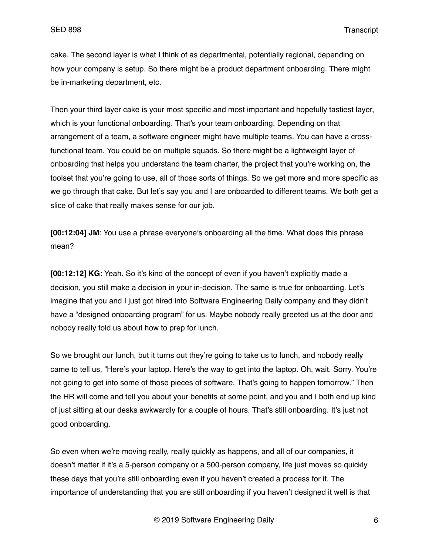cake. The second layer is what I think of as departmental, potentially regional, depending on how your company is setup. So there might be a product department onboarding. There might be in-marketing department, etc.

Then your third layer cake is your most specific and most important and hopefully tastiest layer, which is your functional onboarding. That's your team onboarding. Depending on that arrangement of a team, a software engineer might have multiple teams. You can have a crossfunctional team. You could be on multiple squads. So there might be a lightweight layer of onboarding that helps you understand the team charter, the project that you're working on, the toolset that you're going to use, all of those sorts of things. So we get more and more specific as we go through that cake. But let's say you and I are onboarded to different teams. We both get a slice of cake that really makes sense for our job.

**[00:12:04] JM**: You use a phrase everyone's onboarding all the time. What does this phrase mean?

**[00:12:12] KG**: Yeah. So it's kind of the concept of even if you haven't explicitly made a decision, you still make a decision in your in-decision. The same is true for onboarding. Let's imagine that you and I just got hired into Software Engineering Daily company and they didn't have a "designed onboarding program" for us. Maybe nobody really greeted us at the door and nobody really told us about how to prep for lunch.

So we brought our lunch, but it turns out they're going to take us to lunch, and nobody really came to tell us, "Here's your laptop. Here's the way to get into the laptop. Oh, wait. Sorry. You're not going to get into some of those pieces of software. That's going to happen tomorrow." Then the HR will come and tell you about your benefits at some point, and you and I both end up kind of just sitting at our desks awkwardly for a couple of hours. That's still onboarding. It's just not good onboarding.

So even when we're moving really, really quickly as happens, and all of our companies, it doesn't matter if it's a 5-person company or a 500-person company, life just moves so quickly these days that you're still onboarding even if you haven't created a process for it. The importance of understanding that you are still onboarding if you haven't designed it well is that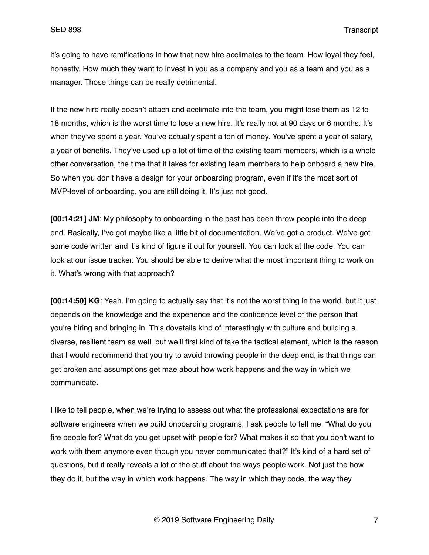it's going to have ramifications in how that new hire acclimates to the team. How loyal they feel, honestly. How much they want to invest in you as a company and you as a team and you as a manager. Those things can be really detrimental.

If the new hire really doesn't attach and acclimate into the team, you might lose them as 12 to 18 months, which is the worst time to lose a new hire. It's really not at 90 days or 6 months. It's when they've spent a year. You've actually spent a ton of money. You've spent a year of salary, a year of benefits. They've used up a lot of time of the existing team members, which is a whole other conversation, the time that it takes for existing team members to help onboard a new hire. So when you don't have a design for your onboarding program, even if it's the most sort of MVP-level of onboarding, you are still doing it. It's just not good.

**[00:14:21] JM**: My philosophy to onboarding in the past has been throw people into the deep end. Basically, I've got maybe like a little bit of documentation. We've got a product. We've got some code written and it's kind of figure it out for yourself. You can look at the code. You can look at our issue tracker. You should be able to derive what the most important thing to work on it. What's wrong with that approach?

**[00:14:50] KG**: Yeah. I'm going to actually say that it's not the worst thing in the world, but it just depends on the knowledge and the experience and the confidence level of the person that you're hiring and bringing in. This dovetails kind of interestingly with culture and building a diverse, resilient team as well, but we'll first kind of take the tactical element, which is the reason that I would recommend that you try to avoid throwing people in the deep end, is that things can get broken and assumptions get mae about how work happens and the way in which we communicate.

I like to tell people, when we're trying to assess out what the professional expectations are for software engineers when we build onboarding programs, I ask people to tell me, "What do you fire people for? What do you get upset with people for? What makes it so that you don't want to work with them anymore even though you never communicated that?" It's kind of a hard set of questions, but it really reveals a lot of the stuff about the ways people work. Not just the how they do it, but the way in which work happens. The way in which they code, the way they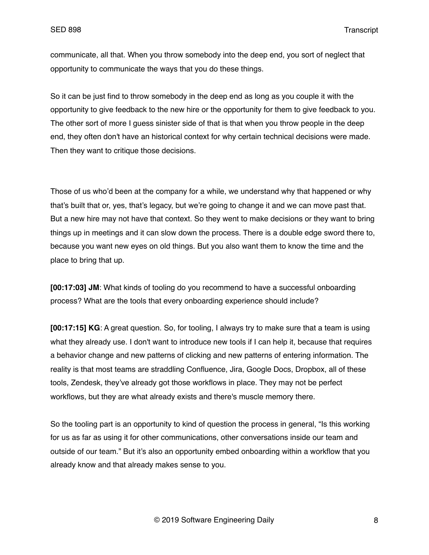communicate, all that. When you throw somebody into the deep end, you sort of neglect that opportunity to communicate the ways that you do these things.

So it can be just find to throw somebody in the deep end as long as you couple it with the opportunity to give feedback to the new hire or the opportunity for them to give feedback to you. The other sort of more I guess sinister side of that is that when you throw people in the deep end, they often don't have an historical context for why certain technical decisions were made. Then they want to critique those decisions.

Those of us who'd been at the company for a while, we understand why that happened or why that's built that or, yes, that's legacy, but we're going to change it and we can move past that. But a new hire may not have that context. So they went to make decisions or they want to bring things up in meetings and it can slow down the process. There is a double edge sword there to, because you want new eyes on old things. But you also want them to know the time and the place to bring that up.

**[00:17:03] JM**: What kinds of tooling do you recommend to have a successful onboarding process? What are the tools that every onboarding experience should include?

**[00:17:15] KG**: A great question. So, for tooling, I always try to make sure that a team is using what they already use. I don't want to introduce new tools if I can help it, because that requires a behavior change and new patterns of clicking and new patterns of entering information. The reality is that most teams are straddling Confluence, Jira, Google Docs, Dropbox, all of these tools, Zendesk, they've already got those workflows in place. They may not be perfect workflows, but they are what already exists and there's muscle memory there.

So the tooling part is an opportunity to kind of question the process in general, "Is this working for us as far as using it for other communications, other conversations inside our team and outside of our team." But it's also an opportunity embed onboarding within a workflow that you already know and that already makes sense to you.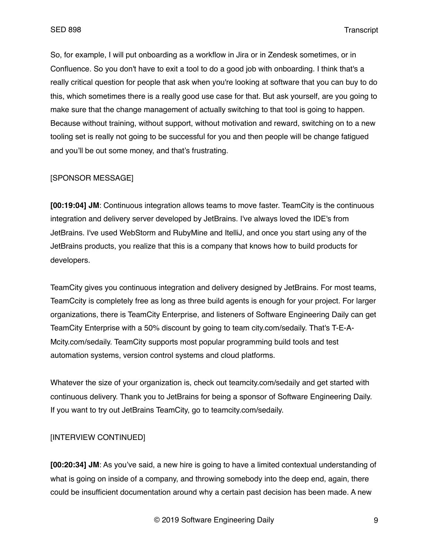So, for example, I will put onboarding as a workflow in Jira or in Zendesk sometimes, or in Confluence. So you don't have to exit a tool to do a good job with onboarding. I think that's a really critical question for people that ask when you're looking at software that you can buy to do this, which sometimes there is a really good use case for that. But ask yourself, are you going to make sure that the change management of actually switching to that tool is going to happen. Because without training, without support, without motivation and reward, switching on to a new tooling set is really not going to be successful for you and then people will be change fatigued and you'll be out some money, and that's frustrating.

## [SPONSOR MESSAGE]

**[00:19:04] JM**: Continuous integration allows teams to move faster. TeamCity is the continuous integration and delivery server developed by JetBrains. I've always loved the IDE's from JetBrains. I've used WebStorm and RubyMine and ItelliJ, and once you start using any of the JetBrains products, you realize that this is a company that knows how to build products for developers.

TeamCity gives you continuous integration and delivery designed by JetBrains. For most teams, TeamCcity is completely free as long as three build agents is enough for your project. For larger organizations, there is TeamCity Enterprise, and listeners of Software Engineering Daily can get TeamCity Enterprise with a 50% discount by going to team city.com/sedaily. That's T-E-A-Mcity.com/sedaily. TeamCity supports most popular programming build tools and test automation systems, version control systems and cloud platforms.

Whatever the size of your organization is, check out teamcity.com/sedaily and get started with continuous delivery. Thank you to JetBrains for being a sponsor of Software Engineering Daily. If you want to try out JetBrains TeamCity, go to teamcity.com/sedaily.

# [INTERVIEW CONTINUED]

**[00:20:34] JM**: As you've said, a new hire is going to have a limited contextual understanding of what is going on inside of a company, and throwing somebody into the deep end, again, there could be insufficient documentation around why a certain past decision has been made. A new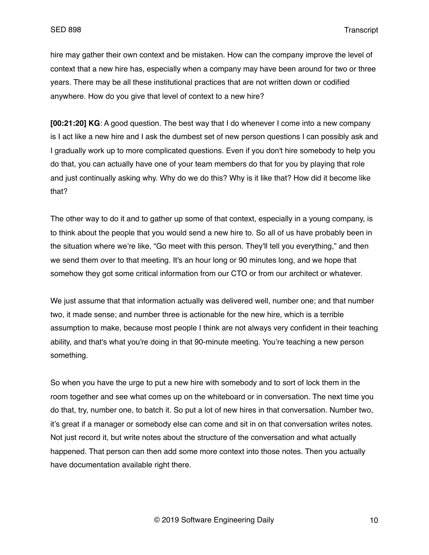hire may gather their own context and be mistaken. How can the company improve the level of context that a new hire has, especially when a company may have been around for two or three years. There may be all these institutional practices that are not written down or codified anywhere. How do you give that level of context to a new hire?

**[00:21:20] KG**: A good question. The best way that I do whenever I come into a new company is I act like a new hire and I ask the dumbest set of new person questions I can possibly ask and I gradually work up to more complicated questions. Even if you don't hire somebody to help you do that, you can actually have one of your team members do that for you by playing that role and just continually asking why. Why do we do this? Why is it like that? How did it become like that?

The other way to do it and to gather up some of that context, especially in a young company, is to think about the people that you would send a new hire to. So all of us have probably been in the situation where we're like, "Go meet with this person. They'll tell you everything," and then we send them over to that meeting. It's an hour long or 90 minutes long, and we hope that somehow they got some critical information from our CTO or from our architect or whatever.

We just assume that that information actually was delivered well, number one; and that number two, it made sense; and number three is actionable for the new hire, which is a terrible assumption to make, because most people I think are not always very confident in their teaching ability, and that's what you're doing in that 90-minute meeting. You're teaching a new person something.

So when you have the urge to put a new hire with somebody and to sort of lock them in the room together and see what comes up on the whiteboard or in conversation. The next time you do that, try, number one, to batch it. So put a lot of new hires in that conversation. Number two, it's great if a manager or somebody else can come and sit in on that conversation writes notes. Not just record it, but write notes about the structure of the conversation and what actually happened. That person can then add some more context into those notes. Then you actually have documentation available right there.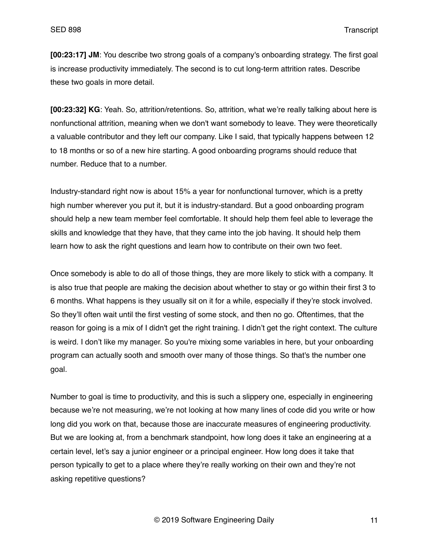**[00:23:17] JM**: You describe two strong goals of a company's onboarding strategy. The first goal is increase productivity immediately. The second is to cut long-term attrition rates. Describe these two goals in more detail.

**[00:23:32] KG**: Yeah. So, attrition/retentions. So, attrition, what we're really talking about here is nonfunctional attrition, meaning when we don't want somebody to leave. They were theoretically a valuable contributor and they left our company. Like I said, that typically happens between 12 to 18 months or so of a new hire starting. A good onboarding programs should reduce that number. Reduce that to a number.

Industry-standard right now is about 15% a year for nonfunctional turnover, which is a pretty high number wherever you put it, but it is industry-standard. But a good onboarding program should help a new team member feel comfortable. It should help them feel able to leverage the skills and knowledge that they have, that they came into the job having. It should help them learn how to ask the right questions and learn how to contribute on their own two feet.

Once somebody is able to do all of those things, they are more likely to stick with a company. It is also true that people are making the decision about whether to stay or go within their first 3 to 6 months. What happens is they usually sit on it for a while, especially if they're stock involved. So they'll often wait until the first vesting of some stock, and then no go. Oftentimes, that the reason for going is a mix of I didn't get the right training. I didn't get the right context. The culture is weird. I don't like my manager. So you're mixing some variables in here, but your onboarding program can actually sooth and smooth over many of those things. So that's the number one goal.

Number to goal is time to productivity, and this is such a slippery one, especially in engineering because we're not measuring, we're not looking at how many lines of code did you write or how long did you work on that, because those are inaccurate measures of engineering productivity. But we are looking at, from a benchmark standpoint, how long does it take an engineering at a certain level, let's say a junior engineer or a principal engineer. How long does it take that person typically to get to a place where they're really working on their own and they're not asking repetitive questions?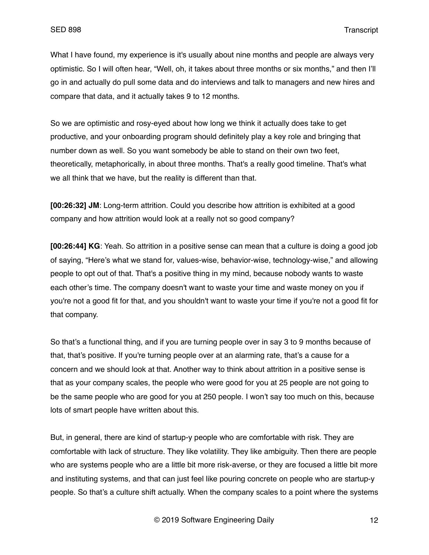What I have found, my experience is it's usually about nine months and people are always very optimistic. So I will often hear, "Well, oh, it takes about three months or six months," and then I'll go in and actually do pull some data and do interviews and talk to managers and new hires and compare that data, and it actually takes 9 to 12 months.

So we are optimistic and rosy-eyed about how long we think it actually does take to get productive, and your onboarding program should definitely play a key role and bringing that number down as well. So you want somebody be able to stand on their own two feet, theoretically, metaphorically, in about three months. That's a really good timeline. That's what we all think that we have, but the reality is different than that.

**[00:26:32] JM**: Long-term attrition. Could you describe how attrition is exhibited at a good company and how attrition would look at a really not so good company?

**[00:26:44] KG**: Yeah. So attrition in a positive sense can mean that a culture is doing a good job of saying, "Here's what we stand for, values-wise, behavior-wise, technology-wise," and allowing people to opt out of that. That's a positive thing in my mind, because nobody wants to waste each other's time. The company doesn't want to waste your time and waste money on you if you're not a good fit for that, and you shouldn't want to waste your time if you're not a good fit for that company.

So that's a functional thing, and if you are turning people over in say 3 to 9 months because of that, that's positive. If you're turning people over at an alarming rate, that's a cause for a concern and we should look at that. Another way to think about attrition in a positive sense is that as your company scales, the people who were good for you at 25 people are not going to be the same people who are good for you at 250 people. I won't say too much on this, because lots of smart people have written about this.

But, in general, there are kind of startup-y people who are comfortable with risk. They are comfortable with lack of structure. They like volatility. They like ambiguity. Then there are people who are systems people who are a little bit more risk-averse, or they are focused a little bit more and instituting systems, and that can just feel like pouring concrete on people who are startup-y people. So that's a culture shift actually. When the company scales to a point where the systems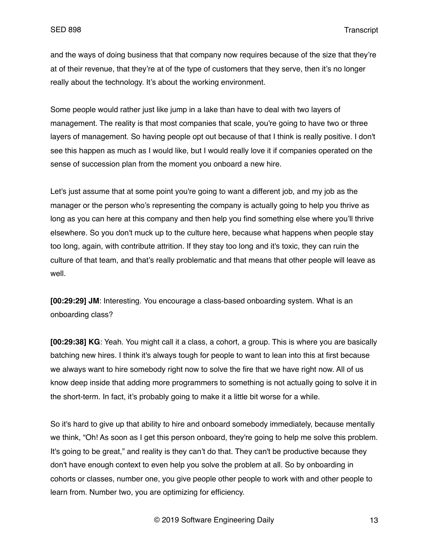and the ways of doing business that that company now requires because of the size that they're at of their revenue, that they're at of the type of customers that they serve, then it's no longer really about the technology. It's about the working environment.

Some people would rather just like jump in a lake than have to deal with two layers of management. The reality is that most companies that scale, you're going to have two or three layers of management. So having people opt out because of that I think is really positive. I don't see this happen as much as I would like, but I would really love it if companies operated on the sense of succession plan from the moment you onboard a new hire.

Let's just assume that at some point you're going to want a different job, and my job as the manager or the person who's representing the company is actually going to help you thrive as long as you can here at this company and then help you find something else where you'll thrive elsewhere. So you don't muck up to the culture here, because what happens when people stay too long, again, with contribute attrition. If they stay too long and it's toxic, they can ruin the culture of that team, and that's really problematic and that means that other people will leave as well.

**[00:29:29] JM**: Interesting. You encourage a class-based onboarding system. What is an onboarding class?

**[00:29:38] KG**: Yeah. You might call it a class, a cohort, a group. This is where you are basically batching new hires. I think it's always tough for people to want to lean into this at first because we always want to hire somebody right now to solve the fire that we have right now. All of us know deep inside that adding more programmers to something is not actually going to solve it in the short-term. In fact, it's probably going to make it a little bit worse for a while.

So it's hard to give up that ability to hire and onboard somebody immediately, because mentally we think, "Oh! As soon as I get this person onboard, they're going to help me solve this problem. It's going to be great," and reality is they can't do that. They can't be productive because they don't have enough context to even help you solve the problem at all. So by onboarding in cohorts or classes, number one, you give people other people to work with and other people to learn from. Number two, you are optimizing for efficiency.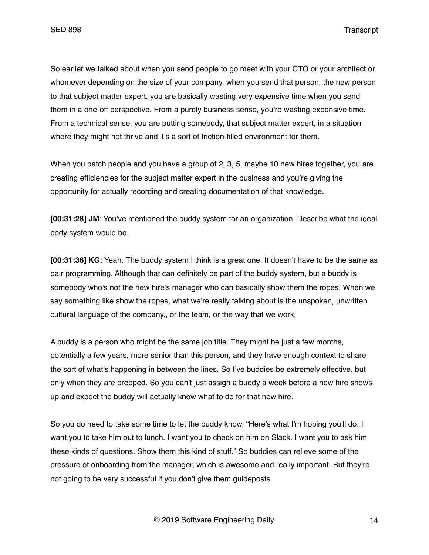So earlier we talked about when you send people to go meet with your CTO or your architect or whomever depending on the size of your company, when you send that person, the new person to that subject matter expert, you are basically wasting very expensive time when you send them in a one-off perspective. From a purely business sense, you're wasting expensive time. From a technical sense, you are putting somebody, that subject matter expert, in a situation where they might not thrive and it's a sort of friction-filled environment for them.

When you batch people and you have a group of 2, 3, 5, maybe 10 new hires together, you are creating efficiencies for the subject matter expert in the business and you're giving the opportunity for actually recording and creating documentation of that knowledge.

**[00:31:28] JM**: You've mentioned the buddy system for an organization. Describe what the ideal body system would be.

**[00:31:36] KG**: Yeah. The buddy system I think is a great one. It doesn't have to be the same as pair programming. Although that can definitely be part of the buddy system, but a buddy is somebody who's not the new hire's manager who can basically show them the ropes. When we say something like show the ropes, what we're really talking about is the unspoken, unwritten cultural language of the company., or the team, or the way that we work.

A buddy is a person who might be the same job title. They might be just a few months, potentially a few years, more senior than this person, and they have enough context to share the sort of what's happening in between the lines. So I've buddies be extremely effective, but only when they are prepped. So you can't just assign a buddy a week before a new hire shows up and expect the buddy will actually know what to do for that new hire.

So you do need to take some time to let the buddy know, "Here's what I'm hoping you'll do. I want you to take him out to lunch. I want you to check on him on Slack. I want you to ask him these kinds of questions. Show them this kind of stuff." So buddies can relieve some of the pressure of onboarding from the manager, which is awesome and really important. But they're not going to be very successful if you don't give them guideposts.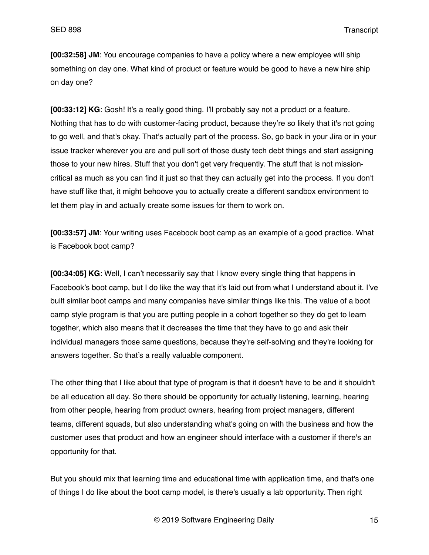**[00:32:58] JM**: You encourage companies to have a policy where a new employee will ship something on day one. What kind of product or feature would be good to have a new hire ship on day one?

**[00:33:12] KG**: Gosh! It's a really good thing. I'll probably say not a product or a feature. Nothing that has to do with customer-facing product, because they're so likely that it's not going to go well, and that's okay. That's actually part of the process. So, go back in your Jira or in your issue tracker wherever you are and pull sort of those dusty tech debt things and start assigning those to your new hires. Stuff that you don't get very frequently. The stuff that is not missioncritical as much as you can find it just so that they can actually get into the process. If you don't have stuff like that, it might behoove you to actually create a different sandbox environment to let them play in and actually create some issues for them to work on.

**[00:33:57] JM**: Your writing uses Facebook boot camp as an example of a good practice. What is Facebook boot camp?

**[00:34:05] KG**: Well, I can't necessarily say that I know every single thing that happens in Facebook's boot camp, but I do like the way that it's laid out from what I understand about it. I've built similar boot camps and many companies have similar things like this. The value of a boot camp style program is that you are putting people in a cohort together so they do get to learn together, which also means that it decreases the time that they have to go and ask their individual managers those same questions, because they're self-solving and they're looking for answers together. So that's a really valuable component.

The other thing that I like about that type of program is that it doesn't have to be and it shouldn't be all education all day. So there should be opportunity for actually listening, learning, hearing from other people, hearing from product owners, hearing from project managers, different teams, different squads, but also understanding what's going on with the business and how the customer uses that product and how an engineer should interface with a customer if there's an opportunity for that.

But you should mix that learning time and educational time with application time, and that's one of things I do like about the boot camp model, is there's usually a lab opportunity. Then right

© 2019 Software Engineering Daily 15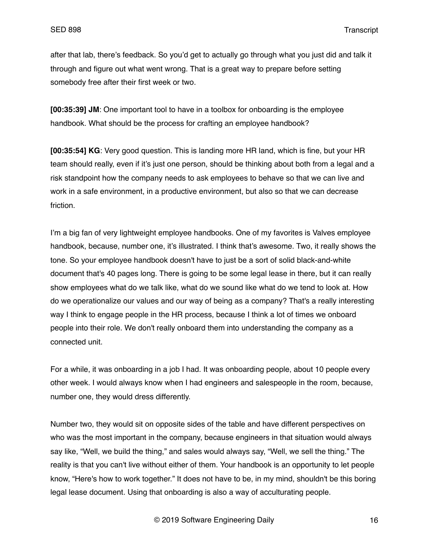after that lab, there's feedback. So you'd get to actually go through what you just did and talk it through and figure out what went wrong. That is a great way to prepare before setting somebody free after their first week or two.

**[00:35:39] JM**: One important tool to have in a toolbox for onboarding is the employee handbook. What should be the process for crafting an employee handbook?

**[00:35:54] KG**: Very good question. This is landing more HR land, which is fine, but your HR team should really, even if it's just one person, should be thinking about both from a legal and a risk standpoint how the company needs to ask employees to behave so that we can live and work in a safe environment, in a productive environment, but also so that we can decrease friction.

I'm a big fan of very lightweight employee handbooks. One of my favorites is Valves employee handbook, because, number one, it's illustrated. I think that's awesome. Two, it really shows the tone. So your employee handbook doesn't have to just be a sort of solid black-and-white document that's 40 pages long. There is going to be some legal lease in there, but it can really show employees what do we talk like, what do we sound like what do we tend to look at. How do we operationalize our values and our way of being as a company? That's a really interesting way I think to engage people in the HR process, because I think a lot of times we onboard people into their role. We don't really onboard them into understanding the company as a connected unit.

For a while, it was onboarding in a job I had. It was onboarding people, about 10 people every other week. I would always know when I had engineers and salespeople in the room, because, number one, they would dress differently.

Number two, they would sit on opposite sides of the table and have different perspectives on who was the most important in the company, because engineers in that situation would always say like, "Well, we build the thing," and sales would always say, "Well, we sell the thing." The reality is that you can't live without either of them. Your handbook is an opportunity to let people know, "Here's how to work together." It does not have to be, in my mind, shouldn't be this boring legal lease document. Using that onboarding is also a way of acculturating people.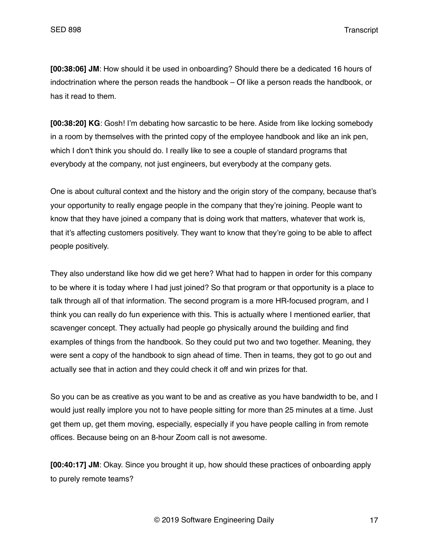**[00:38:06] JM**: How should it be used in onboarding? Should there be a dedicated 16 hours of indoctrination where the person reads the handbook – Of like a person reads the handbook, or has it read to them.

**[00:38:20] KG**: Gosh! I'm debating how sarcastic to be here. Aside from like locking somebody in a room by themselves with the printed copy of the employee handbook and like an ink pen, which I don't think you should do. I really like to see a couple of standard programs that everybody at the company, not just engineers, but everybody at the company gets.

One is about cultural context and the history and the origin story of the company, because that's your opportunity to really engage people in the company that they're joining. People want to know that they have joined a company that is doing work that matters, whatever that work is, that it's affecting customers positively. They want to know that they're going to be able to affect people positively.

They also understand like how did we get here? What had to happen in order for this company to be where it is today where I had just joined? So that program or that opportunity is a place to talk through all of that information. The second program is a more HR-focused program, and I think you can really do fun experience with this. This is actually where I mentioned earlier, that scavenger concept. They actually had people go physically around the building and find examples of things from the handbook. So they could put two and two together. Meaning, they were sent a copy of the handbook to sign ahead of time. Then in teams, they got to go out and actually see that in action and they could check it off and win prizes for that.

So you can be as creative as you want to be and as creative as you have bandwidth to be, and I would just really implore you not to have people sitting for more than 25 minutes at a time. Just get them up, get them moving, especially, especially if you have people calling in from remote offices. Because being on an 8-hour Zoom call is not awesome.

**[00:40:17] JM**: Okay. Since you brought it up, how should these practices of onboarding apply to purely remote teams?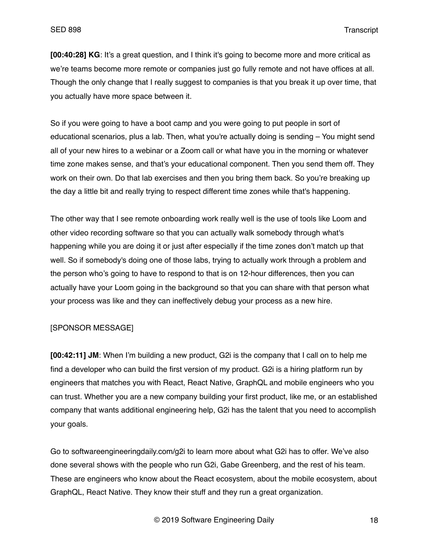**[00:40:28] KG**: It's a great question, and I think it's going to become more and more critical as we're teams become more remote or companies just go fully remote and not have offices at all. Though the only change that I really suggest to companies is that you break it up over time, that you actually have more space between it.

So if you were going to have a boot camp and you were going to put people in sort of educational scenarios, plus a lab. Then, what you're actually doing is sending – You might send all of your new hires to a webinar or a Zoom call or what have you in the morning or whatever time zone makes sense, and that's your educational component. Then you send them off. They work on their own. Do that lab exercises and then you bring them back. So you're breaking up the day a little bit and really trying to respect different time zones while that's happening.

The other way that I see remote onboarding work really well is the use of tools like Loom and other video recording software so that you can actually walk somebody through what's happening while you are doing it or just after especially if the time zones don't match up that well. So if somebody's doing one of those labs, trying to actually work through a problem and the person who's going to have to respond to that is on 12-hour differences, then you can actually have your Loom going in the background so that you can share with that person what your process was like and they can ineffectively debug your process as a new hire.

### [SPONSOR MESSAGE]

**[00:42:11] JM**: When I'm building a new product, G2i is the company that I call on to help me find a developer who can build the first version of my product. G2i is a hiring platform run by engineers that matches you with React, React Native, GraphQL and mobile engineers who you can trust. Whether you are a new company building your first product, like me, or an established company that wants additional engineering help, G2i has the talent that you need to accomplish your goals.

Go to softwareengineeringdaily.com/g2i to learn more about what G2i has to offer. We've also done several shows with the people who run G2i, Gabe Greenberg, and the rest of his team. These are engineers who know about the React ecosystem, about the mobile ecosystem, about GraphQL, React Native. They know their stuff and they run a great organization.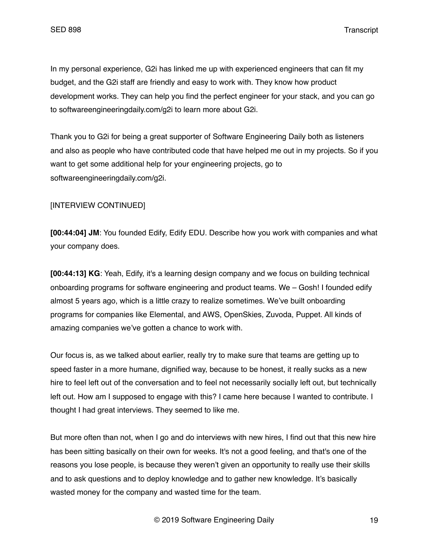In my personal experience, G2i has linked me up with experienced engineers that can fit my budget, and the G2i staff are friendly and easy to work with. They know how product development works. They can help you find the perfect engineer for your stack, and you can go to softwareengineeringdaily.com/g2i to learn more about G2i.

Thank you to G2i for being a great supporter of Software Engineering Daily both as listeners and also as people who have contributed code that have helped me out in my projects. So if you want to get some additional help for your engineering projects, go to softwareengineeringdaily.com/g2i.

# [INTERVIEW CONTINUED]

**[00:44:04] JM**: You founded Edify, Edify EDU. Describe how you work with companies and what your company does.

**[00:44:13] KG**: Yeah, Edify, it's a learning design company and we focus on building technical onboarding programs for software engineering and product teams. We – Gosh! I founded edify almost 5 years ago, which is a little crazy to realize sometimes. We've built onboarding programs for companies like Elemental, and AWS, OpenSkies, Zuvoda, Puppet. All kinds of amazing companies we've gotten a chance to work with.

Our focus is, as we talked about earlier, really try to make sure that teams are getting up to speed faster in a more humane, dignified way, because to be honest, it really sucks as a new hire to feel left out of the conversation and to feel not necessarily socially left out, but technically left out. How am I supposed to engage with this? I came here because I wanted to contribute. I thought I had great interviews. They seemed to like me.

But more often than not, when I go and do interviews with new hires, I find out that this new hire has been sitting basically on their own for weeks. It's not a good feeling, and that's one of the reasons you lose people, is because they weren't given an opportunity to really use their skills and to ask questions and to deploy knowledge and to gather new knowledge. It's basically wasted money for the company and wasted time for the team.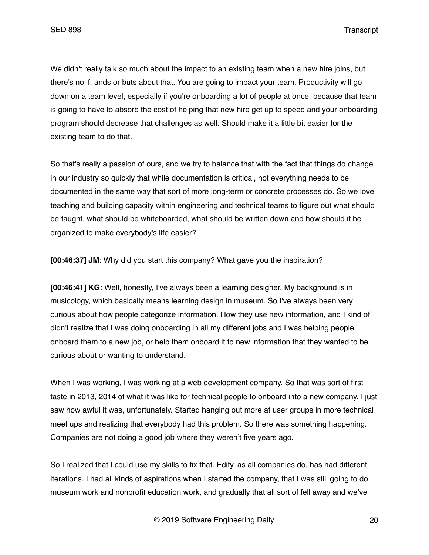We didn't really talk so much about the impact to an existing team when a new hire joins, but there's no if, ands or buts about that. You are going to impact your team. Productivity will go down on a team level, especially if you're onboarding a lot of people at once, because that team is going to have to absorb the cost of helping that new hire get up to speed and your onboarding program should decrease that challenges as well. Should make it a little bit easier for the existing team to do that.

So that's really a passion of ours, and we try to balance that with the fact that things do change in our industry so quickly that while documentation is critical, not everything needs to be documented in the same way that sort of more long-term or concrete processes do. So we love teaching and building capacity within engineering and technical teams to figure out what should be taught, what should be whiteboarded, what should be written down and how should it be organized to make everybody's life easier?

**[00:46:37] JM**: Why did you start this company? What gave you the inspiration?

**[00:46:41] KG**: Well, honestly, I've always been a learning designer. My background is in musicology, which basically means learning design in museum. So I've always been very curious about how people categorize information. How they use new information, and I kind of didn't realize that I was doing onboarding in all my different jobs and I was helping people onboard them to a new job, or help them onboard it to new information that they wanted to be curious about or wanting to understand.

When I was working, I was working at a web development company. So that was sort of first taste in 2013, 2014 of what it was like for technical people to onboard into a new company. I just saw how awful it was, unfortunately. Started hanging out more at user groups in more technical meet ups and realizing that everybody had this problem. So there was something happening. Companies are not doing a good job where they weren't five years ago.

So I realized that I could use my skills to fix that. Edify, as all companies do, has had different iterations. I had all kinds of aspirations when I started the company, that I was still going to do museum work and nonprofit education work, and gradually that all sort of fell away and we've

© 2019 Software Engineering Daily 20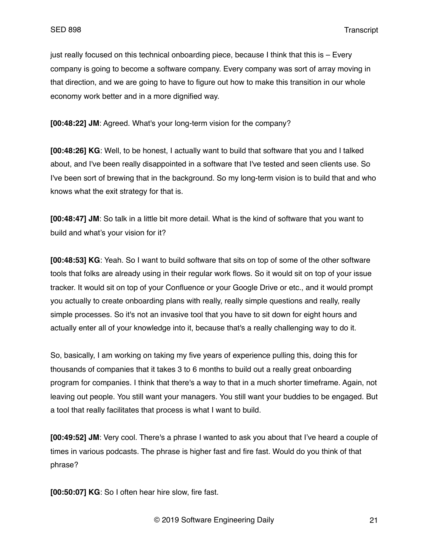just really focused on this technical onboarding piece, because I think that this is – Every company is going to become a software company. Every company was sort of array moving in that direction, and we are going to have to figure out how to make this transition in our whole economy work better and in a more dignified way.

**[00:48:22] JM**: Agreed. What's your long-term vision for the company?

**[00:48:26] KG**: Well, to be honest, I actually want to build that software that you and I talked about, and I've been really disappointed in a software that I've tested and seen clients use. So I've been sort of brewing that in the background. So my long-term vision is to build that and who knows what the exit strategy for that is.

**[00:48:47] JM**: So talk in a little bit more detail. What is the kind of software that you want to build and what's your vision for it?

**[00:48:53] KG**: Yeah. So I want to build software that sits on top of some of the other software tools that folks are already using in their regular work flows. So it would sit on top of your issue tracker. It would sit on top of your Confluence or your Google Drive or etc., and it would prompt you actually to create onboarding plans with really, really simple questions and really, really simple processes. So it's not an invasive tool that you have to sit down for eight hours and actually enter all of your knowledge into it, because that's a really challenging way to do it.

So, basically, I am working on taking my five years of experience pulling this, doing this for thousands of companies that it takes 3 to 6 months to build out a really great onboarding program for companies. I think that there's a way to that in a much shorter timeframe. Again, not leaving out people. You still want your managers. You still want your buddies to be engaged. But a tool that really facilitates that process is what I want to build.

**[00:49:52] JM**: Very cool. There's a phrase I wanted to ask you about that I've heard a couple of times in various podcasts. The phrase is higher fast and fire fast. Would do you think of that phrase?

**[00:50:07] KG**: So I often hear hire slow, fire fast.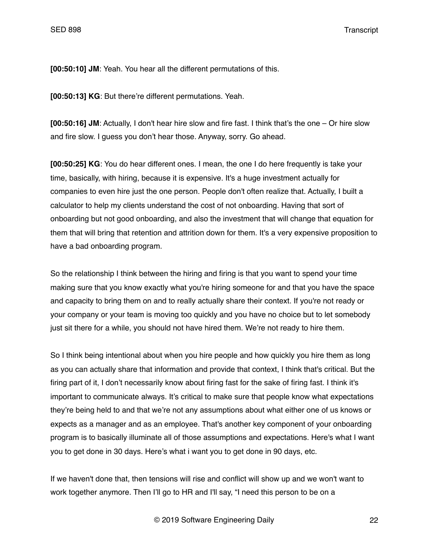**[00:50:10] JM**: Yeah. You hear all the different permutations of this.

**[00:50:13] KG**: But there're different permutations. Yeah.

**[00:50:16] JM**: Actually, I don't hear hire slow and fire fast. I think that's the one – Or hire slow and fire slow. I guess you don't hear those. Anyway, sorry. Go ahead.

**[00:50:25] KG**: You do hear different ones. I mean, the one I do here frequently is take your time, basically, with hiring, because it is expensive. It's a huge investment actually for companies to even hire just the one person. People don't often realize that. Actually, I built a calculator to help my clients understand the cost of not onboarding. Having that sort of onboarding but not good onboarding, and also the investment that will change that equation for them that will bring that retention and attrition down for them. It's a very expensive proposition to have a bad onboarding program.

So the relationship I think between the hiring and firing is that you want to spend your time making sure that you know exactly what you're hiring someone for and that you have the space and capacity to bring them on and to really actually share their context. If you're not ready or your company or your team is moving too quickly and you have no choice but to let somebody just sit there for a while, you should not have hired them. We're not ready to hire them.

So I think being intentional about when you hire people and how quickly you hire them as long as you can actually share that information and provide that context, I think that's critical. But the firing part of it, I don't necessarily know about firing fast for the sake of firing fast. I think it's important to communicate always. It's critical to make sure that people know what expectations they're being held to and that we're not any assumptions about what either one of us knows or expects as a manager and as an employee. That's another key component of your onboarding program is to basically illuminate all of those assumptions and expectations. Here's what I want you to get done in 30 days. Here's what i want you to get done in 90 days, etc.

If we haven't done that, then tensions will rise and conflict will show up and we won't want to work together anymore. Then I'll go to HR and I'll say, "I need this person to be on a

© 2019 Software Engineering Daily 22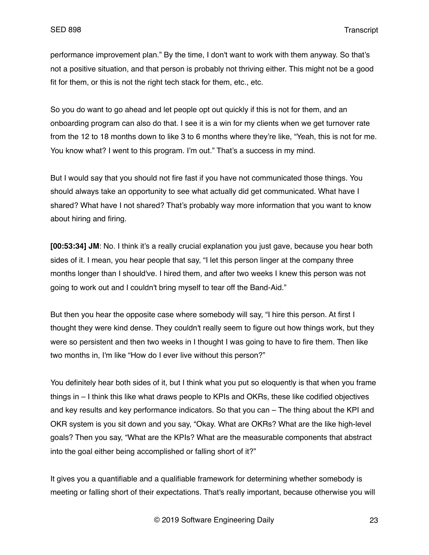performance improvement plan." By the time, I don't want to work with them anyway. So that's not a positive situation, and that person is probably not thriving either. This might not be a good fit for them, or this is not the right tech stack for them, etc., etc.

So you do want to go ahead and let people opt out quickly if this is not for them, and an onboarding program can also do that. I see it is a win for my clients when we get turnover rate from the 12 to 18 months down to like 3 to 6 months where they're like, "Yeah, this is not for me. You know what? I went to this program. I'm out." That's a success in my mind.

But I would say that you should not fire fast if you have not communicated those things. You should always take an opportunity to see what actually did get communicated. What have I shared? What have I not shared? That's probably way more information that you want to know about hiring and firing.

**[00:53:34] JM**: No. I think it's a really crucial explanation you just gave, because you hear both sides of it. I mean, you hear people that say, "I let this person linger at the company three months longer than I should've. I hired them, and after two weeks I knew this person was not going to work out and I couldn't bring myself to tear off the Band-Aid."

But then you hear the opposite case where somebody will say, "I hire this person. At first I thought they were kind dense. They couldn't really seem to figure out how things work, but they were so persistent and then two weeks in I thought I was going to have to fire them. Then like two months in, I'm like "How do I ever live without this person?"

You definitely hear both sides of it, but I think what you put so eloquently is that when you frame things in – I think this like what draws people to KPIs and OKRs, these like codified objectives and key results and key performance indicators. So that you can – The thing about the KPI and OKR system is you sit down and you say, "Okay. What are OKRs? What are the like high-level goals? Then you say, "What are the KPIs? What are the measurable components that abstract into the goal either being accomplished or falling short of it?"

It gives you a quantifiable and a qualifiable framework for determining whether somebody is meeting or falling short of their expectations. That's really important, because otherwise you will

© 2019 Software Engineering Daily 23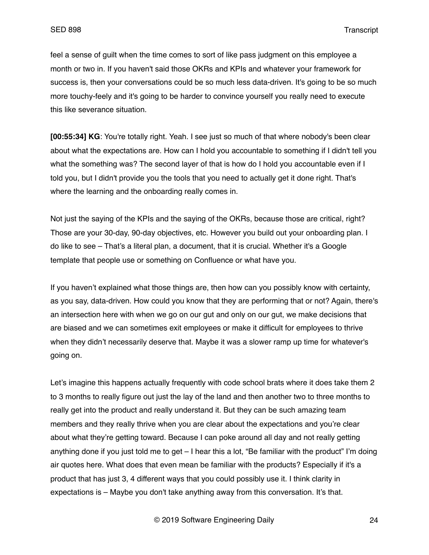feel a sense of guilt when the time comes to sort of like pass judgment on this employee a month or two in. If you haven't said those OKRs and KPIs and whatever your framework for success is, then your conversations could be so much less data-driven. It's going to be so much more touchy-feely and it's going to be harder to convince yourself you really need to execute this like severance situation.

**[00:55:34] KG**: You're totally right. Yeah. I see just so much of that where nobody's been clear about what the expectations are. How can I hold you accountable to something if I didn't tell you what the something was? The second layer of that is how do I hold you accountable even if I told you, but I didn't provide you the tools that you need to actually get it done right. That's where the learning and the onboarding really comes in.

Not just the saying of the KPIs and the saying of the OKRs, because those are critical, right? Those are your 30-day, 90-day objectives, etc. However you build out your onboarding plan. I do like to see – That's a literal plan, a document, that it is crucial. Whether it's a Google template that people use or something on Confluence or what have you.

If you haven't explained what those things are, then how can you possibly know with certainty, as you say, data-driven. How could you know that they are performing that or not? Again, there's an intersection here with when we go on our gut and only on our gut, we make decisions that are biased and we can sometimes exit employees or make it difficult for employees to thrive when they didn't necessarily deserve that. Maybe it was a slower ramp up time for whatever's going on.

Let's imagine this happens actually frequently with code school brats where it does take them 2 to 3 months to really figure out just the lay of the land and then another two to three months to really get into the product and really understand it. But they can be such amazing team members and they really thrive when you are clear about the expectations and you're clear about what they're getting toward. Because I can poke around all day and not really getting anything done if you just told me to get – I hear this a lot, "Be familiar with the product" I'm doing air quotes here. What does that even mean be familiar with the products? Especially if it's a product that has just 3, 4 different ways that you could possibly use it. I think clarity in expectations is – Maybe you don't take anything away from this conversation. It's that.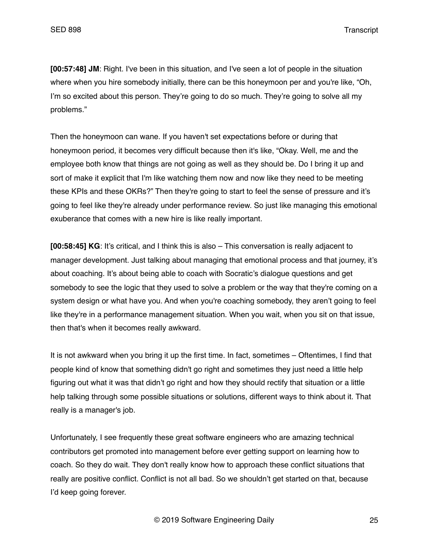**[00:57:48] JM**: Right. I've been in this situation, and I've seen a lot of people in the situation where when you hire somebody initially, there can be this honeymoon per and you're like, "Oh, I'm so excited about this person. They're going to do so much. They're going to solve all my problems."

Then the honeymoon can wane. If you haven't set expectations before or during that honeymoon period, it becomes very difficult because then it's like, "Okay. Well, me and the employee both know that things are not going as well as they should be. Do I bring it up and sort of make it explicit that I'm like watching them now and now like they need to be meeting these KPIs and these OKRs?" Then they're going to start to feel the sense of pressure and it's going to feel like they're already under performance review. So just like managing this emotional exuberance that comes with a new hire is like really important.

**[00:58:45] KG**: It's critical, and I think this is also – This conversation is really adjacent to manager development. Just talking about managing that emotional process and that journey, it's about coaching. It's about being able to coach with Socratic's dialogue questions and get somebody to see the logic that they used to solve a problem or the way that they're coming on a system design or what have you. And when you're coaching somebody, they aren't going to feel like they're in a performance management situation. When you wait, when you sit on that issue, then that's when it becomes really awkward.

It is not awkward when you bring it up the first time. In fact, sometimes – Oftentimes, I find that people kind of know that something didn't go right and sometimes they just need a little help figuring out what it was that didn't go right and how they should rectify that situation or a little help talking through some possible situations or solutions, different ways to think about it. That really is a manager's job.

Unfortunately, I see frequently these great software engineers who are amazing technical contributors get promoted into management before ever getting support on learning how to coach. So they do wait. They don't really know how to approach these conflict situations that really are positive conflict. Conflict is not all bad. So we shouldn't get started on that, because I'd keep going forever.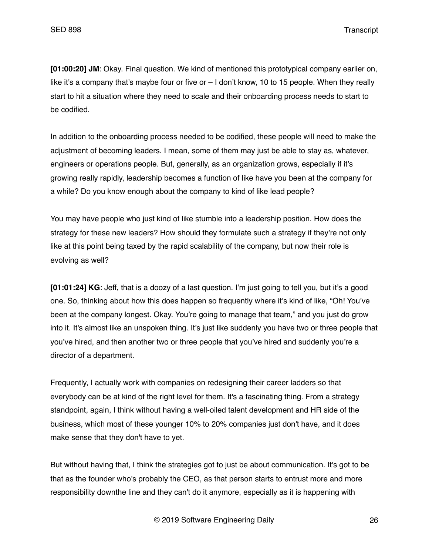**[01:00:20] JM**: Okay. Final question. We kind of mentioned this prototypical company earlier on, like it's a company that's maybe four or five or – I don't know, 10 to 15 people. When they really start to hit a situation where they need to scale and their onboarding process needs to start to be codified.

In addition to the onboarding process needed to be codified, these people will need to make the adjustment of becoming leaders. I mean, some of them may just be able to stay as, whatever, engineers or operations people. But, generally, as an organization grows, especially if it's growing really rapidly, leadership becomes a function of like have you been at the company for a while? Do you know enough about the company to kind of like lead people?

You may have people who just kind of like stumble into a leadership position. How does the strategy for these new leaders? How should they formulate such a strategy if they're not only like at this point being taxed by the rapid scalability of the company, but now their role is evolving as well?

**[01:01:24] KG**: Jeff, that is a doozy of a last question. I'm just going to tell you, but it's a good one. So, thinking about how this does happen so frequently where it's kind of like, "Oh! You've been at the company longest. Okay. You're going to manage that team," and you just do grow into it. It's almost like an unspoken thing. It's just like suddenly you have two or three people that you've hired, and then another two or three people that you've hired and suddenly you're a director of a department.

Frequently, I actually work with companies on redesigning their career ladders so that everybody can be at kind of the right level for them. It's a fascinating thing. From a strategy standpoint, again, I think without having a well-oiled talent development and HR side of the business, which most of these younger 10% to 20% companies just don't have, and it does make sense that they don't have to yet.

But without having that, I think the strategies got to just be about communication. It's got to be that as the founder who's probably the CEO, as that person starts to entrust more and more responsibility downthe line and they can't do it anymore, especially as it is happening with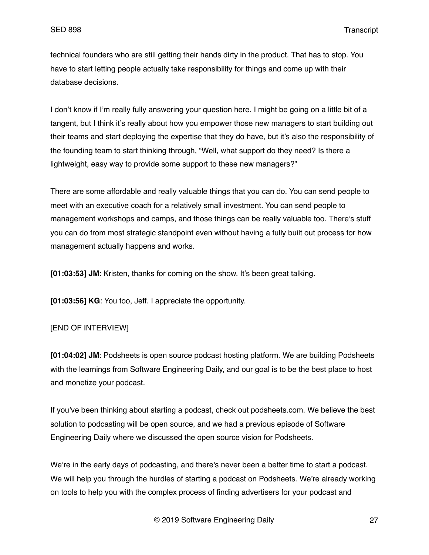technical founders who are still getting their hands dirty in the product. That has to stop. You have to start letting people actually take responsibility for things and come up with their database decisions.

I don't know if I'm really fully answering your question here. I might be going on a little bit of a tangent, but I think it's really about how you empower those new managers to start building out their teams and start deploying the expertise that they do have, but it's also the responsibility of the founding team to start thinking through, "Well, what support do they need? Is there a lightweight, easy way to provide some support to these new managers?"

There are some affordable and really valuable things that you can do. You can send people to meet with an executive coach for a relatively small investment. You can send people to management workshops and camps, and those things can be really valuable too. There's stuff you can do from most strategic standpoint even without having a fully built out process for how management actually happens and works.

**[01:03:53] JM**: Kristen, thanks for coming on the show. It's been great talking.

**[01:03:56] KG**: You too, Jeff. I appreciate the opportunity.

## [END OF INTERVIEW]

**[01:04:02] JM**: Podsheets is open source podcast hosting platform. We are building Podsheets with the learnings from Software Engineering Daily, and our goal is to be the best place to host and monetize your podcast.

If you've been thinking about starting a podcast, check out podsheets.com. We believe the best solution to podcasting will be open source, and we had a previous episode of Software Engineering Daily where we discussed the open source vision for Podsheets.

We're in the early days of podcasting, and there's never been a better time to start a podcast. We will help you through the hurdles of starting a podcast on Podsheets. We're already working on tools to help you with the complex process of finding advertisers for your podcast and